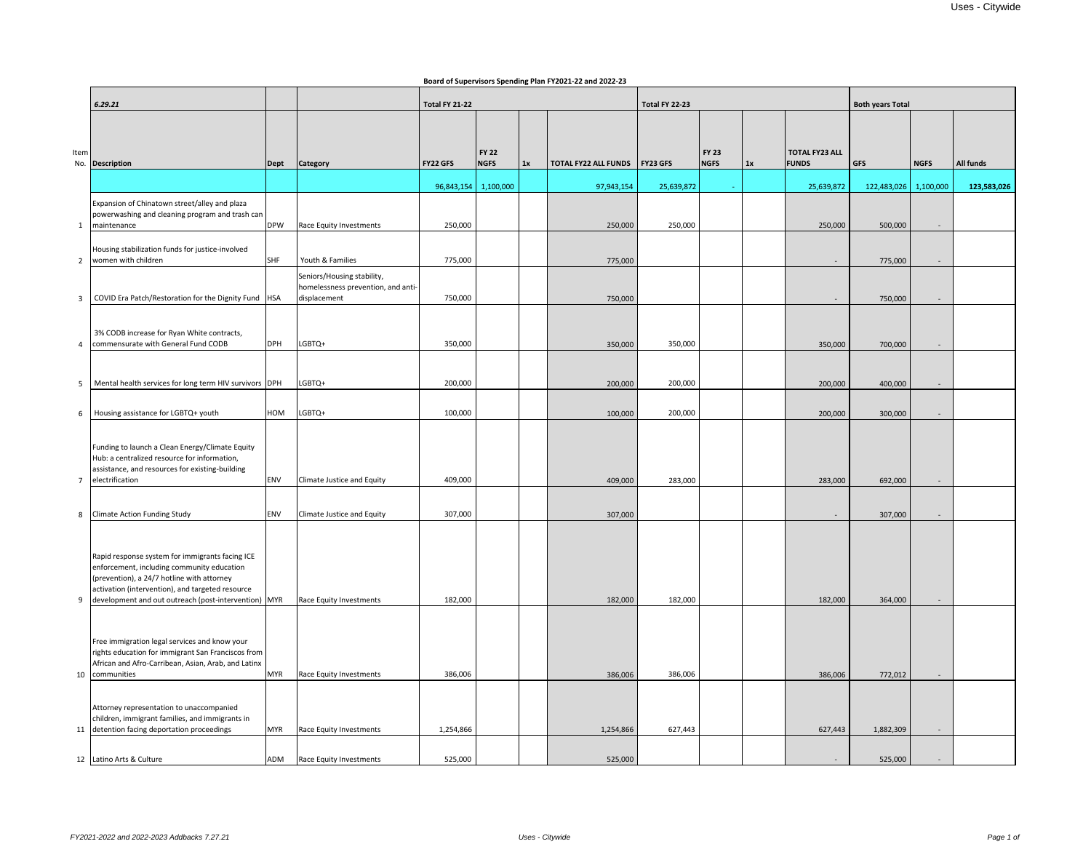|                |                                                                                                     |            |                                                                  |                       |              |    | soara or saper nosro spenang r ram r r soss se ana soss so |                |              |                         |                       |             |             |             |
|----------------|-----------------------------------------------------------------------------------------------------|------------|------------------------------------------------------------------|-----------------------|--------------|----|------------------------------------------------------------|----------------|--------------|-------------------------|-----------------------|-------------|-------------|-------------|
|                |                                                                                                     |            |                                                                  |                       |              |    |                                                            |                |              |                         |                       |             |             |             |
|                | 6.29.21                                                                                             |            |                                                                  | <b>Total FY 21-22</b> |              |    |                                                            | Total FY 22-23 |              | <b>Both years Total</b> |                       |             |             |             |
|                |                                                                                                     |            |                                                                  |                       |              |    |                                                            |                |              |                         |                       |             |             |             |
|                |                                                                                                     |            |                                                                  |                       |              |    |                                                            |                |              |                         |                       |             |             |             |
| Item           |                                                                                                     |            |                                                                  |                       | <b>FY 22</b> |    |                                                            |                | <b>FY 23</b> |                         | <b>TOTAL FY23 ALL</b> |             |             |             |
|                | No. Description                                                                                     | Dept       | <b>Category</b>                                                  | <b>FY22 GFS</b>       | <b>NGFS</b>  | 1x | TOTAL FY22 ALL FUNDS   FY23 GFS                            |                | <b>NGFS</b>  | 1x                      | <b>FUNDS</b>          | <b>GFS</b>  | <b>NGFS</b> | All funds   |
|                |                                                                                                     |            |                                                                  |                       |              |    |                                                            |                |              |                         |                       |             |             |             |
|                |                                                                                                     |            |                                                                  | 96,843,154            | 1,100,000    |    | 97,943,154                                                 | 25,639,872     |              |                         | 25,639,872            | 122,483,026 | 1,100,000   | 123,583,026 |
|                | Expansion of Chinatown street/alley and plaza                                                       |            |                                                                  |                       |              |    |                                                            |                |              |                         |                       |             |             |             |
|                | powerwashing and cleaning program and trash can                                                     |            |                                                                  |                       |              |    |                                                            |                |              |                         |                       |             |             |             |
| 1              | maintenance                                                                                         | <b>DPW</b> | Race Equity Investments                                          | 250,000               |              |    | 250,000                                                    | 250,000        |              |                         | 250,000               | 500,000     |             |             |
|                |                                                                                                     |            |                                                                  |                       |              |    |                                                            |                |              |                         |                       |             |             |             |
| $\overline{2}$ | Housing stabilization funds for justice-involved<br>women with children                             | <b>SHF</b> | Youth & Families                                                 | 775,000               |              |    | 775,000                                                    |                |              |                         | $\sim$                | 775,000     |             |             |
|                |                                                                                                     |            |                                                                  |                       |              |    |                                                            |                |              |                         |                       |             |             |             |
|                |                                                                                                     |            | Seniors/Housing stability,<br>homelessness prevention, and anti- |                       |              |    |                                                            |                |              |                         |                       |             |             |             |
| 3              | COVID Era Patch/Restoration for the Dignity Fund   HSA                                              |            | displacement                                                     | 750,000               |              |    | 750,000                                                    |                |              |                         |                       | 750,000     |             |             |
|                |                                                                                                     |            |                                                                  |                       |              |    |                                                            |                |              |                         |                       |             |             |             |
|                |                                                                                                     |            |                                                                  |                       |              |    |                                                            |                |              |                         |                       |             |             |             |
|                | 3% CODB increase for Ryan White contracts,                                                          |            |                                                                  |                       |              |    |                                                            |                |              |                         |                       |             |             |             |
| 4              | commensurate with General Fund CODB                                                                 | <b>DPH</b> | LGBTQ+                                                           | 350,000               |              |    | 350,000                                                    | 350,000        |              |                         | 350,000               | 700,000     |             |             |
|                |                                                                                                     |            |                                                                  |                       |              |    |                                                            |                |              |                         |                       |             |             |             |
|                |                                                                                                     |            |                                                                  |                       |              |    |                                                            |                |              |                         |                       |             |             |             |
| 5              | Mental health services for long term HIV survivors DPH                                              |            | LGBTQ+                                                           | 200,000               |              |    | 200,000                                                    | 200,000        |              |                         | 200,000               | 400,000     |             |             |
|                |                                                                                                     |            |                                                                  |                       |              |    |                                                            |                |              |                         |                       |             |             |             |
| 6              | Housing assistance for LGBTQ+ youth                                                                 | HOM        | LGBTQ+                                                           | 100,000               |              |    | 100,000                                                    | 200,000        |              |                         | 200,000               | 300,000     |             |             |
|                |                                                                                                     |            |                                                                  |                       |              |    |                                                            |                |              |                         |                       |             |             |             |
|                |                                                                                                     |            |                                                                  |                       |              |    |                                                            |                |              |                         |                       |             |             |             |
|                | Funding to launch a Clean Energy/Climate Equity                                                     |            |                                                                  |                       |              |    |                                                            |                |              |                         |                       |             |             |             |
|                | Hub: a centralized resource for information,<br>assistance, and resources for existing-building     |            |                                                                  |                       |              |    |                                                            |                |              |                         |                       |             |             |             |
| $7^{\circ}$    | electrification                                                                                     | <b>ENV</b> | Climate Justice and Equity                                       | 409,000               |              |    | 409,000                                                    | 283,000        |              |                         | 283,000               | 692,000     |             |             |
|                |                                                                                                     |            |                                                                  |                       |              |    |                                                            |                |              |                         |                       |             |             |             |
|                |                                                                                                     |            |                                                                  |                       |              |    |                                                            |                |              |                         |                       |             |             |             |
| 8              | <b>Climate Action Funding Study</b>                                                                 | <b>ENV</b> | Climate Justice and Equity                                       | 307,000               |              |    | 307,000                                                    |                |              |                         | $\sim$                | 307,000     |             |             |
|                |                                                                                                     |            |                                                                  |                       |              |    |                                                            |                |              |                         |                       |             |             |             |
|                |                                                                                                     |            |                                                                  |                       |              |    |                                                            |                |              |                         |                       |             |             |             |
|                | Rapid response system for immigrants facing ICE                                                     |            |                                                                  |                       |              |    |                                                            |                |              |                         |                       |             |             |             |
|                | enforcement, including community education                                                          |            |                                                                  |                       |              |    |                                                            |                |              |                         |                       |             |             |             |
|                | (prevention), a 24/7 hotline with attorney<br>activation (intervention), and targeted resource      |            |                                                                  |                       |              |    |                                                            |                |              |                         |                       |             |             |             |
| 9              | development and out outreach (post-intervention) MYR                                                |            | Race Equity Investments                                          | 182,000               |              |    | 182,000                                                    | 182,000        |              |                         | 182,000               | 364,000     |             |             |
|                |                                                                                                     |            |                                                                  |                       |              |    |                                                            |                |              |                         |                       |             |             |             |
|                |                                                                                                     |            |                                                                  |                       |              |    |                                                            |                |              |                         |                       |             |             |             |
|                |                                                                                                     |            |                                                                  |                       |              |    |                                                            |                |              |                         |                       |             |             |             |
|                | Free immigration legal services and know your<br>rights education for immigrant San Franciscos from |            |                                                                  |                       |              |    |                                                            |                |              |                         |                       |             |             |             |
|                | African and Afro-Carribean, Asian, Arab, and Latinx                                                 |            |                                                                  |                       |              |    |                                                            |                |              |                         |                       |             |             |             |
|                | 10 communities                                                                                      | <b>MYR</b> | Race Equity Investments                                          | 386,006               |              |    | 386,006                                                    | 386,006        |              |                         | 386,006               | 772,012     |             |             |
|                |                                                                                                     |            |                                                                  |                       |              |    |                                                            |                |              |                         |                       |             |             |             |
|                |                                                                                                     |            |                                                                  |                       |              |    |                                                            |                |              |                         |                       |             |             |             |
|                | Attorney representation to unaccompanied<br>children, immigrant families, and immigrants in         |            |                                                                  |                       |              |    |                                                            |                |              |                         |                       |             |             |             |
|                | 11 detention facing deportation proceedings                                                         | <b>MYR</b> | Race Equity Investments                                          | 1,254,866             |              |    | 1,254,866                                                  | 627,443        |              |                         | 627,443               | 1,882,309   |             |             |
|                |                                                                                                     |            |                                                                  |                       |              |    |                                                            |                |              |                         |                       |             |             |             |
|                | 12 Latino Arts & Culture                                                                            | ADM        | Race Equity Investments                                          | 525,000               |              |    | 525,000                                                    |                |              |                         |                       | 525,000     |             |             |
|                |                                                                                                     |            |                                                                  |                       |              |    |                                                            |                |              |                         |                       |             |             |             |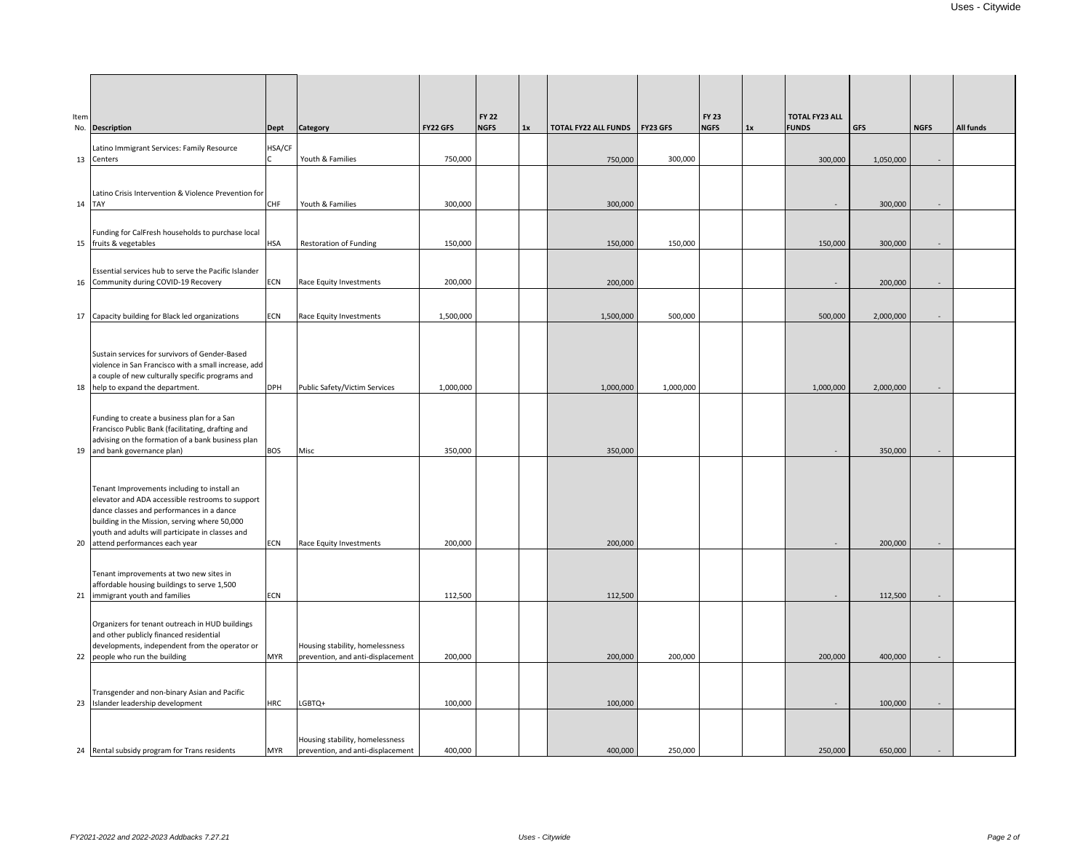| Item<br>No. Description |                                                                                                                                                                                                                                                                                       |            |                                                                      |                 |              |    |                                 |           |              |    |                       |            |                          |           |
|-------------------------|---------------------------------------------------------------------------------------------------------------------------------------------------------------------------------------------------------------------------------------------------------------------------------------|------------|----------------------------------------------------------------------|-----------------|--------------|----|---------------------------------|-----------|--------------|----|-----------------------|------------|--------------------------|-----------|
|                         |                                                                                                                                                                                                                                                                                       |            |                                                                      |                 | <b>FY 22</b> |    |                                 |           | <b>FY 23</b> |    | <b>TOTAL FY23 ALL</b> |            |                          |           |
|                         |                                                                                                                                                                                                                                                                                       | Dept       | Category                                                             | <b>FY22 GFS</b> | <b>NGFS</b>  | 1x | TOTAL FY22 ALL FUNDS   FY23 GFS |           | <b>NGFS</b>  | 1x | <b>FUNDS</b>          | <b>GFS</b> | <b>NGFS</b>              | All funds |
|                         | Latino Immigrant Services: Family Resource                                                                                                                                                                                                                                            | HSA/CF     |                                                                      |                 |              |    |                                 |           |              |    |                       |            |                          |           |
| 13 Centers              |                                                                                                                                                                                                                                                                                       |            | Youth & Families                                                     | 750,000         |              |    | 750,000                         | 300,000   |              |    | 300,000               | 1,050,000  | $-$                      |           |
|                         |                                                                                                                                                                                                                                                                                       |            |                                                                      |                 |              |    |                                 |           |              |    |                       |            |                          |           |
| 14 TAY                  | Latino Crisis Intervention & Violence Prevention for                                                                                                                                                                                                                                  | <b>CHF</b> | Youth & Families                                                     | 300,000         |              |    | 300,000                         |           |              |    |                       | 300,000    | $\overline{\phantom{a}}$ |           |
|                         |                                                                                                                                                                                                                                                                                       |            |                                                                      |                 |              |    |                                 |           |              |    |                       |            |                          |           |
|                         | Funding for CalFresh households to purchase local<br>15 fruits & vegetables                                                                                                                                                                                                           | <b>HSA</b> | <b>Restoration of Funding</b>                                        | 150,000         |              |    | 150,000                         | 150,000   |              |    | 150,000               | 300,000    |                          |           |
|                         |                                                                                                                                                                                                                                                                                       |            |                                                                      |                 |              |    |                                 |           |              |    |                       |            |                          |           |
|                         | <b>Essential services hub to serve the Pacific Islander</b>                                                                                                                                                                                                                           |            |                                                                      |                 |              |    |                                 |           |              |    |                       |            |                          |           |
|                         | 16 Community during COVID-19 Recovery                                                                                                                                                                                                                                                 | <b>ECN</b> | Race Equity Investments                                              | 200,000         |              |    | 200,000                         |           |              |    |                       | 200,000    | $\sim$                   |           |
|                         |                                                                                                                                                                                                                                                                                       |            |                                                                      |                 |              |    |                                 |           |              |    |                       |            |                          |           |
|                         | 17 Capacity building for Black led organizations                                                                                                                                                                                                                                      | <b>ECN</b> | Race Equity Investments                                              | 1,500,000       |              |    | 1,500,000                       | 500,000   |              |    | 500,000               | 2,000,000  | $\sim$                   |           |
|                         |                                                                                                                                                                                                                                                                                       |            |                                                                      |                 |              |    |                                 |           |              |    |                       |            |                          |           |
|                         | Sustain services for survivors of Gender-Based<br>violence in San Francisco with a small increase, add                                                                                                                                                                                |            |                                                                      |                 |              |    |                                 |           |              |    |                       |            |                          |           |
|                         | a couple of new culturally specific programs and                                                                                                                                                                                                                                      |            |                                                                      |                 |              |    |                                 |           |              |    |                       |            |                          |           |
|                         | 18 help to expand the department.                                                                                                                                                                                                                                                     | DPH        | Public Safety/Victim Services                                        | 1,000,000       |              |    | 1,000,000                       | 1,000,000 |              |    | 1,000,000             | 2,000,000  | $\sim$                   |           |
|                         | Funding to create a business plan for a San<br>Francisco Public Bank (facilitating, drafting and                                                                                                                                                                                      |            |                                                                      |                 |              |    |                                 |           |              |    |                       |            |                          |           |
|                         | advising on the formation of a bank business plan                                                                                                                                                                                                                                     |            |                                                                      |                 |              |    |                                 |           |              |    |                       |            |                          |           |
|                         | 19 and bank governance plan)                                                                                                                                                                                                                                                          | <b>BOS</b> | Misc                                                                 | 350,000         |              |    | 350,000                         |           |              |    | $\sim$                | 350,000    | $\sim$                   |           |
|                         | Tenant Improvements including to install an<br>elevator and ADA accessible restrooms to support<br>dance classes and performances in a dance<br>building in the Mission, serving where 50,000<br>youth and adults will participate in classes and<br>20 attend performances each year | <b>ECN</b> | Race Equity Investments                                              | 200,000         |              |    | 200,000                         |           |              |    | $\sim$                | 200,000    | $\sim$                   |           |
|                         |                                                                                                                                                                                                                                                                                       |            |                                                                      |                 |              |    |                                 |           |              |    |                       |            |                          |           |
|                         | Tenant improvements at two new sites in<br>affordable housing buildings to serve 1,500<br>21 immigrant youth and families                                                                                                                                                             | <b>ECN</b> |                                                                      | 112,500         |              |    | 112,500                         |           |              |    |                       | 112,500    |                          |           |
|                         |                                                                                                                                                                                                                                                                                       |            |                                                                      |                 |              |    |                                 |           |              |    |                       |            |                          |           |
|                         | Organizers for tenant outreach in HUD buildings<br>and other publicly financed residential<br>developments, independent from the operator or<br>22 people who run the building                                                                                                        | <b>MYR</b> | Housing stability, homelessness<br>prevention, and anti-displacement | 200,000         |              |    | 200,000                         | 200,000   |              |    | 200,000               | 400,000    |                          |           |
|                         |                                                                                                                                                                                                                                                                                       |            |                                                                      |                 |              |    |                                 |           |              |    |                       |            |                          |           |
|                         | Transgender and non-binary Asian and Pacific<br>23 Islander leadership development                                                                                                                                                                                                    | <b>HRC</b> | LGBTQ+                                                               | 100,000         |              |    | 100,000                         |           |              |    |                       | 100,000    |                          |           |
|                         |                                                                                                                                                                                                                                                                                       |            |                                                                      |                 |              |    |                                 |           |              |    |                       |            |                          |           |
|                         | 24 Rental subsidy program for Trans residents                                                                                                                                                                                                                                         | <b>MYR</b> | Housing stability, homelessness<br>prevention, and anti-displacement | 400,000         |              |    | 400,000                         | 250,000   |              |    | 250,000               | 650,000    |                          |           |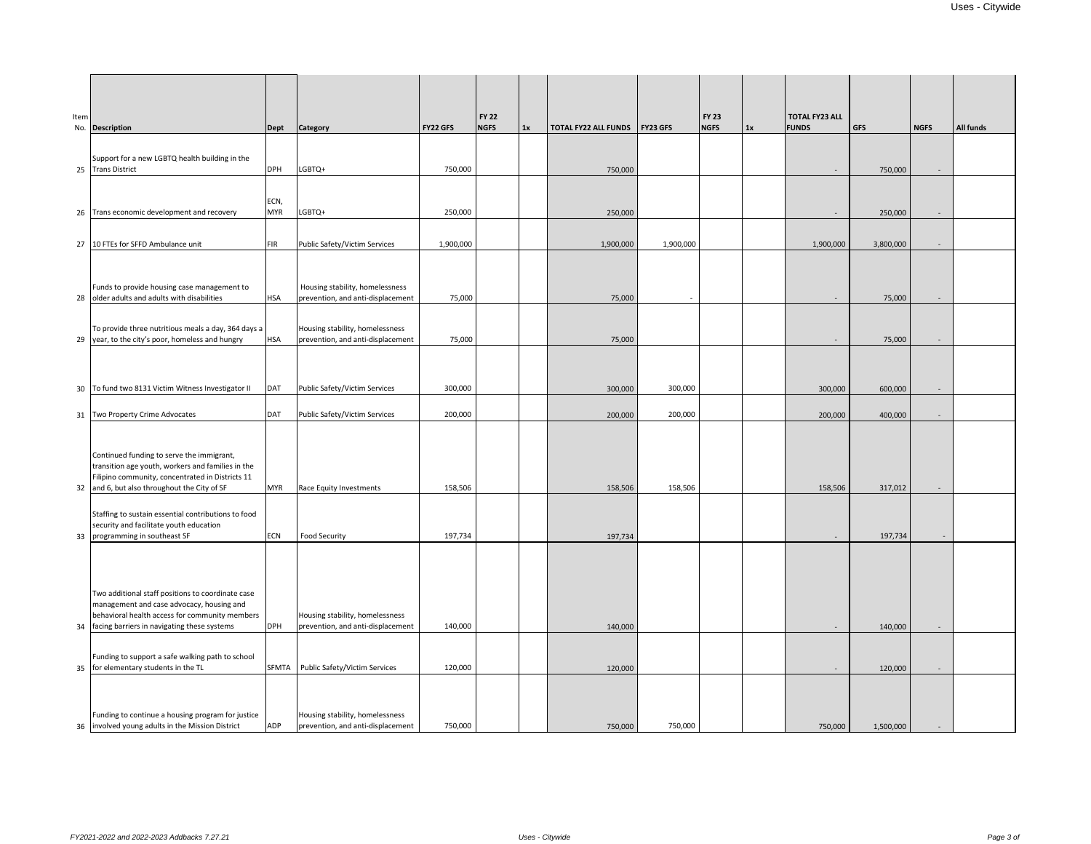| Item | No. Description                                                                                       | Dept               | <b>Category</b>                                                      | <b>FY22 GFS</b> | <b>FY 22</b><br><b>NGFS</b> | 1x | TOTAL FY22 ALL FUNDS FY23 GFS |           | <b>FY 23</b><br><b>NGFS</b> | 1x | <b>TOTAL FY23 ALL</b><br><b>FUNDS</b> | <b>GFS</b> | <b>NGFS</b> | All funds |
|------|-------------------------------------------------------------------------------------------------------|--------------------|----------------------------------------------------------------------|-----------------|-----------------------------|----|-------------------------------|-----------|-----------------------------|----|---------------------------------------|------------|-------------|-----------|
|      |                                                                                                       |                    |                                                                      |                 |                             |    |                               |           |                             |    |                                       |            |             |           |
|      | Support for a new LGBTQ health building in the<br>25 Trans District                                   | <b>DPH</b>         | LGBTQ+                                                               | 750,000         |                             |    | 750,000                       |           |                             |    | $\sim$                                | 750,000    | $\sim$      |           |
|      |                                                                                                       |                    |                                                                      |                 |                             |    |                               |           |                             |    |                                       |            |             |           |
|      | 26 Trans economic development and recovery                                                            | ECN,<br><b>MYR</b> | LGBTQ+                                                               | 250,000         |                             |    | 250,000                       |           |                             |    |                                       | 250,000    |             |           |
|      |                                                                                                       |                    |                                                                      |                 |                             |    |                               |           |                             |    | $\sim$                                |            | $\sim$      |           |
|      | 27 10 FTEs for SFFD Ambulance unit                                                                    | <b>FIR</b>         | Public Safety/Victim Services                                        | 1,900,000       |                             |    | 1,900,000                     | 1,900,000 |                             |    | 1,900,000                             | 3,800,000  | $\sim$      |           |
|      |                                                                                                       |                    |                                                                      |                 |                             |    |                               |           |                             |    |                                       |            |             |           |
|      | Funds to provide housing case management to                                                           |                    | Housing stability, homelessness                                      |                 |                             |    |                               |           |                             |    |                                       |            |             |           |
|      | 28 older adults and adults with disabilities                                                          | <b>HSA</b>         | prevention, and anti-displacement                                    | 75,000          |                             |    | 75,000                        |           |                             |    |                                       | 75,000     |             |           |
|      | To provide three nutritious meals a day, 364 days a                                                   |                    | Housing stability, homelessness                                      |                 |                             |    |                               |           |                             |    |                                       |            |             |           |
|      | 29 year, to the city's poor, homeless and hungry                                                      | <b>HSA</b>         | prevention, and anti-displacement                                    | 75,000          |                             |    | 75,000                        |           |                             |    | $\sim$                                | 75,000     | $\sim$      |           |
|      |                                                                                                       |                    |                                                                      |                 |                             |    |                               |           |                             |    |                                       |            |             |           |
|      | 30 To fund two 8131 Victim Witness Investigator II                                                    | <b>DAT</b>         | Public Safety/Victim Services                                        | 300,000         |                             |    | 300,000                       | 300,000   |                             |    | 300,000                               | 600,000    | $\sim$      |           |
|      |                                                                                                       |                    |                                                                      |                 |                             |    |                               |           |                             |    |                                       |            |             |           |
|      | 31 Two Property Crime Advocates                                                                       | <b>DAT</b>         | Public Safety/Victim Services                                        | 200,000         |                             |    | 200,000                       | 200,000   |                             |    | 200,000                               | 400,000    | $\sim$      |           |
|      |                                                                                                       |                    |                                                                      |                 |                             |    |                               |           |                             |    |                                       |            |             |           |
|      | Continued funding to serve the immigrant,<br>transition age youth, workers and families in the        |                    |                                                                      |                 |                             |    |                               |           |                             |    |                                       |            |             |           |
|      | Filipino community, concentrated in Districts 11<br>32 and 6, but also throughout the City of SF      | <b>MYR</b>         | Race Equity Investments                                              | 158,506         |                             |    | 158,506                       | 158,506   |                             |    | 158,506                               | 317,012    | $\sim$      |           |
|      |                                                                                                       |                    |                                                                      |                 |                             |    |                               |           |                             |    |                                       |            |             |           |
|      | Staffing to sustain essential contributions to food<br>security and facilitate youth education        |                    |                                                                      |                 |                             |    |                               |           |                             |    |                                       |            |             |           |
|      | 33 programming in southeast SF                                                                        | <b>ECN</b>         | Food Security                                                        | 197,734         |                             |    | 197,734                       |           |                             |    |                                       | 197,734    |             |           |
|      |                                                                                                       |                    |                                                                      |                 |                             |    |                               |           |                             |    |                                       |            |             |           |
|      |                                                                                                       |                    |                                                                      |                 |                             |    |                               |           |                             |    |                                       |            |             |           |
|      | Two additional staff positions to coordinate case<br>management and case advocacy, housing and        |                    |                                                                      |                 |                             |    |                               |           |                             |    |                                       |            |             |           |
|      | behavioral health access for community members<br>34 facing barriers in navigating these systems      | <b>DPH</b>         | Housing stability, homelessness<br>prevention, and anti-displacement | 140,000         |                             |    |                               |           |                             |    |                                       |            |             |           |
|      |                                                                                                       |                    |                                                                      |                 |                             |    | 140,000                       |           |                             |    | $\sim$                                | 140,000    | $\sim$      |           |
|      | Funding to support a safe walking path to school                                                      |                    |                                                                      |                 |                             |    |                               |           |                             |    |                                       |            |             |           |
|      | 35 for elementary students in the TL                                                                  | <b>SFMTA</b>       | Public Safety/Victim Services                                        | 120,000         |                             |    | 120,000                       |           |                             |    | $\sim$                                | 120,000    |             |           |
|      |                                                                                                       |                    |                                                                      |                 |                             |    |                               |           |                             |    |                                       |            |             |           |
|      | Funding to continue a housing program for justice<br>36 involved young adults in the Mission District | ADP                | Housing stability, homelessness<br>prevention, and anti-displacement | 750,000         |                             |    | 750,000                       | 750,000   |                             |    | 750,000                               | 1,500,000  |             |           |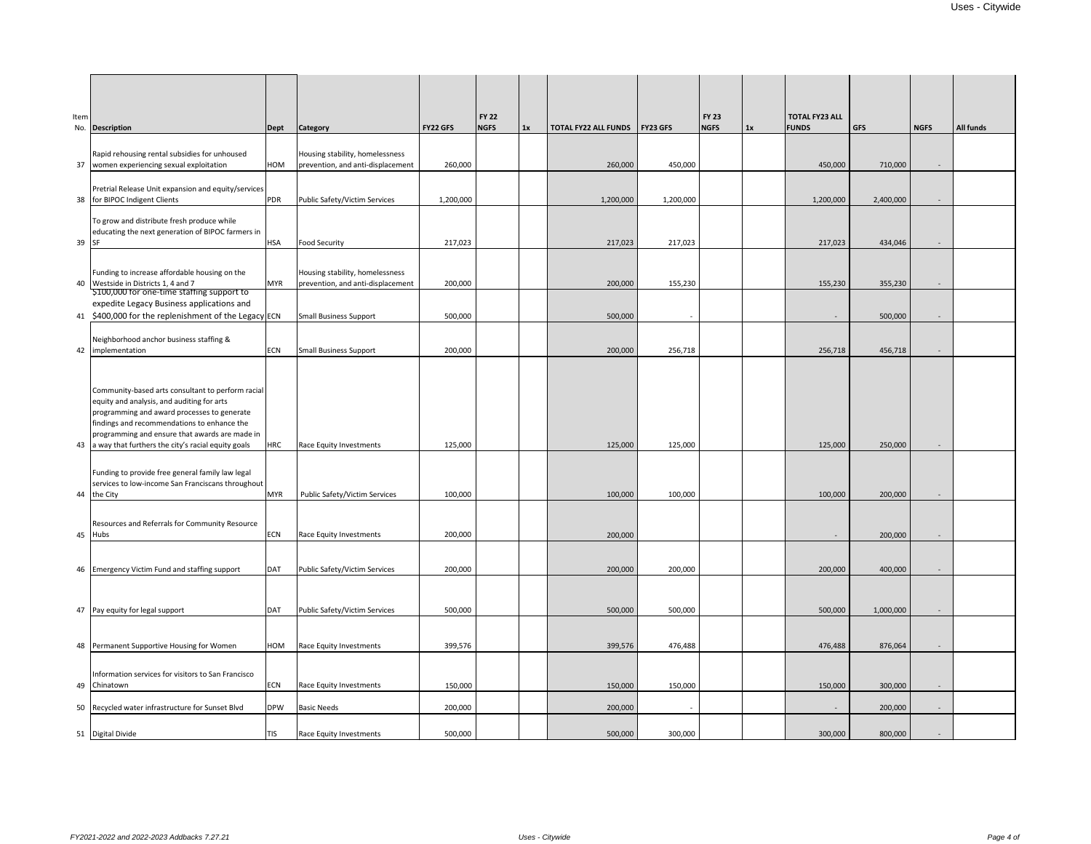| Item  | No. Description                                                                                                                                                                                                                                 | <b>Dept</b> | <b>Category</b>                   | FY22 GFS  | <b>FY 22</b><br><b>NGFS</b> | 1x | <b>TOTAL FY22 ALL FUNDS FY23 GFS</b> |           | <b>FY 23</b><br><b>NGFS</b> | 1x | <b>TOTAL FY23 ALL</b><br><b>FUNDS</b> | <b>GFS</b> | <b>NGFS</b>              | All funds |
|-------|-------------------------------------------------------------------------------------------------------------------------------------------------------------------------------------------------------------------------------------------------|-------------|-----------------------------------|-----------|-----------------------------|----|--------------------------------------|-----------|-----------------------------|----|---------------------------------------|------------|--------------------------|-----------|
|       |                                                                                                                                                                                                                                                 |             |                                   |           |                             |    |                                      |           |                             |    |                                       |            |                          |           |
|       | Rapid rehousing rental subsidies for unhoused                                                                                                                                                                                                   |             | Housing stability, homelessness   |           |                             |    |                                      |           |                             |    |                                       |            |                          |           |
|       | 37   women experiencing sexual exploitation                                                                                                                                                                                                     | HOM         | prevention, and anti-displacement | 260,000   |                             |    | 260,000                              | 450,000   |                             |    | 450,000                               | 710,000    | ÷                        |           |
|       | Pretrial Release Unit expansion and equity/services                                                                                                                                                                                             |             |                                   |           |                             |    |                                      |           |                             |    |                                       |            |                          |           |
| 38    | for BIPOC Indigent Clients                                                                                                                                                                                                                      | <b>PDR</b>  | Public Safety/Victim Services     | 1,200,000 |                             |    | 1,200,000                            | 1,200,000 |                             |    | 1,200,000                             | 2,400,000  | $\sim$                   |           |
|       |                                                                                                                                                                                                                                                 |             |                                   |           |                             |    |                                      |           |                             |    |                                       |            |                          |           |
|       | To grow and distribute fresh produce while<br>educating the next generation of BIPOC farmers in                                                                                                                                                 |             |                                   |           |                             |    |                                      |           |                             |    |                                       |            |                          |           |
| 39 SF |                                                                                                                                                                                                                                                 | <b>HSA</b>  | <b>Food Security</b>              | 217,023   |                             |    | 217,023                              | 217,023   |                             |    | 217,023                               | 434,046    | ÷                        |           |
|       |                                                                                                                                                                                                                                                 |             |                                   |           |                             |    |                                      |           |                             |    |                                       |            |                          |           |
|       | Funding to increase affordable housing on the                                                                                                                                                                                                   |             | Housing stability, homelessness   |           |                             |    |                                      |           |                             |    |                                       |            |                          |           |
| 40    | Westside in Districts 1, 4 and 7                                                                                                                                                                                                                | <b>MYR</b>  | prevention, and anti-displacement | 200,000   |                             |    | 200,000                              | 155,230   |                             |    | 155,230                               | 355,230    | $\sim$                   |           |
|       | \$100,000 for one-time staffing support to                                                                                                                                                                                                      |             |                                   |           |                             |    |                                      |           |                             |    |                                       |            |                          |           |
|       | expedite Legacy Business applications and                                                                                                                                                                                                       |             |                                   |           |                             |    |                                      |           |                             |    |                                       |            |                          |           |
|       | 41 \$400,000 for the replenishment of the Legacy ECN                                                                                                                                                                                            |             | <b>Small Business Support</b>     | 500,000   |                             |    | 500,000                              |           |                             |    | $\sim$                                | 500,000    | $\sim$                   |           |
|       | Neighborhood anchor business staffing &                                                                                                                                                                                                         |             |                                   |           |                             |    |                                      |           |                             |    |                                       |            |                          |           |
|       | 42 implementation                                                                                                                                                                                                                               | <b>ECN</b>  | <b>Small Business Support</b>     | 200,000   |                             |    | 200,000                              | 256,718   |                             |    | 256,718                               | 456,718    | $\sim$                   |           |
|       |                                                                                                                                                                                                                                                 |             |                                   |           |                             |    |                                      |           |                             |    |                                       |            |                          |           |
|       | Community-based arts consultant to perform racial<br>equity and analysis, and auditing for arts<br>programming and award processes to generate<br>findings and recommendations to enhance the<br>programming and ensure that awards are made in |             |                                   |           |                             |    |                                      |           |                             |    |                                       |            |                          |           |
|       | 43 a way that furthers the city's racial equity goals                                                                                                                                                                                           | <b>HRC</b>  | Race Equity Investments           | 125,000   |                             |    | 125,000                              | 125,000   |                             |    | 125,000                               | 250,000    |                          |           |
|       | Funding to provide free general family law legal<br>services to low-income San Franciscans throughout<br>44 the City                                                                                                                            | <b>MYR</b>  | Public Safety/Victim Services     | 100,000   |                             |    | 100,000                              | 100,000   |                             |    | 100,000                               | 200,000    |                          |           |
|       |                                                                                                                                                                                                                                                 |             |                                   |           |                             |    |                                      |           |                             |    |                                       |            |                          |           |
|       | Resources and Referrals for Community Resource                                                                                                                                                                                                  |             |                                   |           |                             |    |                                      |           |                             |    |                                       |            |                          |           |
| 45    | Hubs                                                                                                                                                                                                                                            | <b>ECN</b>  | Race Equity Investments           | 200,000   |                             |    | 200,000                              |           |                             |    | $\sim$                                | 200,000    | $\sim$                   |           |
|       |                                                                                                                                                                                                                                                 |             |                                   |           |                             |    |                                      |           |                             |    |                                       |            |                          |           |
|       | 46 Emergency Victim Fund and staffing support                                                                                                                                                                                                   | <b>DAT</b>  | Public Safety/Victim Services     | 200,000   |                             |    | 200,000                              | 200,000   |                             |    | 200,000                               | 400,000    | $\overline{\phantom{a}}$ |           |
|       |                                                                                                                                                                                                                                                 |             |                                   |           |                             |    |                                      |           |                             |    |                                       |            |                          |           |
|       |                                                                                                                                                                                                                                                 |             |                                   |           |                             |    |                                      |           |                             |    |                                       |            |                          |           |
| 47    | Pay equity for legal support                                                                                                                                                                                                                    | DAT         | Public Safety/Victim Services     | 500,000   |                             |    | 500,000                              | 500,000   |                             |    | 500,000                               | 1,000,000  | $\sim$                   |           |
|       |                                                                                                                                                                                                                                                 |             |                                   |           |                             |    |                                      |           |                             |    |                                       |            |                          |           |
|       |                                                                                                                                                                                                                                                 |             |                                   |           |                             |    |                                      |           |                             |    |                                       |            |                          |           |
|       | 48 Permanent Supportive Housing for Women                                                                                                                                                                                                       | HOM         | Race Equity Investments           | 399,576   |                             |    | 399,576                              | 476,488   |                             |    | 476,488                               | 876,064    |                          |           |
|       |                                                                                                                                                                                                                                                 |             |                                   |           |                             |    |                                      |           |                             |    |                                       |            |                          |           |
|       | Information services for visitors to San Francisco<br>49 Chinatown                                                                                                                                                                              | <b>ECN</b>  | Race Equity Investments           | 150,000   |                             |    | 150,000                              | 150,000   |                             |    | 150,000                               | 300,000    | $\sim$                   |           |
|       |                                                                                                                                                                                                                                                 |             |                                   |           |                             |    |                                      |           |                             |    |                                       |            |                          |           |
|       | 50 Recycled water infrastructure for Sunset Blvd                                                                                                                                                                                                | <b>DPW</b>  | <b>Basic Needs</b>                | 200,000   |                             |    | 200,000                              |           |                             |    | $\sim$                                | 200,000    | $\overline{\phantom{a}}$ |           |
|       | 51 Digital Divide                                                                                                                                                                                                                               | TIS         | Race Equity Investments           | 500,000   |                             |    | 500,000                              | 300,000   |                             |    | 300,000                               | 800,000    |                          |           |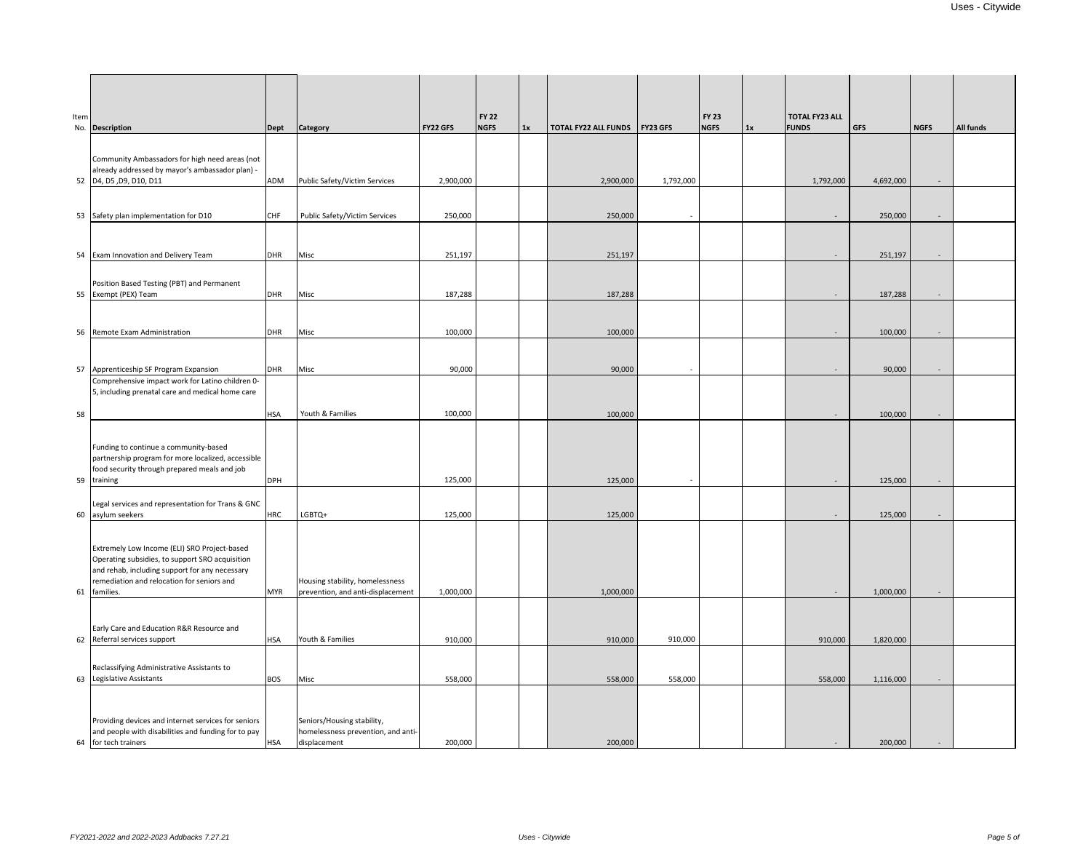| Item | No. Description                                                                                                                                                                                                 | Dept       | <b>Category</b>                                                                  | <b>FY22 GFS</b> | <b>FY 22</b><br><b>NGFS</b> | 1x | <b>TOTAL FY22 ALL FUNDS</b> | <b>FY23 GFS</b> | <b>FY 23</b><br><b>NGFS</b> | 1x | <b>TOTAL FY23 ALL</b><br><b>FUNDS</b> | <b>GFS</b> | <b>NGFS</b> | All funds |
|------|-----------------------------------------------------------------------------------------------------------------------------------------------------------------------------------------------------------------|------------|----------------------------------------------------------------------------------|-----------------|-----------------------------|----|-----------------------------|-----------------|-----------------------------|----|---------------------------------------|------------|-------------|-----------|
|      | Community Ambassadors for high need areas (not<br>already addressed by mayor's ambassador plan) -<br>52 D4, D5, D9, D10, D11                                                                                    | ADM        | Public Safety/Victim Services                                                    | 2,900,000       |                             |    | 2,900,000                   | 1,792,000       |                             |    | 1,792,000                             | 4,692,000  | $\sim$      |           |
|      | 53 Safety plan implementation for D10                                                                                                                                                                           | <b>CHF</b> | Public Safety/Victim Services                                                    | 250,000         |                             |    | 250,000                     |                 |                             |    | $\sim$                                | 250,000    | $\sim$      |           |
|      | 54 Exam Innovation and Delivery Team                                                                                                                                                                            | <b>DHR</b> | Misc                                                                             | 251,197         |                             |    | 251,197                     |                 |                             |    | $\sim$                                | 251,197    | $\sim$      |           |
|      | Position Based Testing (PBT) and Permanent<br>55 Exempt (PEX) Team                                                                                                                                              | <b>DHR</b> | Misc                                                                             | 187,288         |                             |    | 187,288                     |                 |                             |    | $\sim$                                | 187,288    | $\sim$      |           |
|      | 56 Remote Exam Administration                                                                                                                                                                                   | <b>DHR</b> | Misc                                                                             | 100,000         |                             |    | 100,000                     |                 |                             |    | $\sim$                                | 100,000    | $\sim$      |           |
|      | 57 Apprenticeship SF Program Expansion                                                                                                                                                                          | <b>DHR</b> | Misc                                                                             | 90,000          |                             |    | 90,000                      |                 |                             |    | $\sim$                                | 90,000     | $\sim$      |           |
| 58   | Comprehensive impact work for Latino children 0-<br>5, including prenatal care and medical home care                                                                                                            | <b>HSA</b> | Youth & Families                                                                 | 100,000         |                             |    | 100,000                     |                 |                             |    | $\sim$                                | 100,000    | $\sim$      |           |
|      | Funding to continue a community-based<br>partnership program for more localized, accessible<br>food security through prepared meals and job<br>59 training                                                      | <b>DPH</b> |                                                                                  | 125,000         |                             |    | 125,000                     |                 |                             |    | $\sim$                                | 125,000    | $\sim$      |           |
|      | Legal services and representation for Trans & GNC<br>60 asylum seekers                                                                                                                                          | <b>HRC</b> | LGBTQ+                                                                           | 125,000         |                             |    | 125,000                     |                 |                             |    | $\sim$                                | 125,000    | $\sim$      |           |
|      | Extremely Low Income (ELI) SRO Project-based<br>Operating subsidies, to support SRO acquisition<br>and rehab, including support for any necessary<br>remediation and relocation for seniors and<br>61 families. | <b>MYR</b> | Housing stability, homelessness<br>prevention, and anti-displacement             | 1,000,000       |                             |    | 1,000,000                   |                 |                             |    | $\sim$                                | 1,000,000  | $\sim$      |           |
|      | Early Care and Education R&R Resource and<br>62 Referral services support                                                                                                                                       | <b>HSA</b> | Youth & Families                                                                 | 910,000         |                             |    | 910,000                     | 910,000         |                             |    | 910,000                               | 1,820,000  |             |           |
|      | Reclassifying Administrative Assistants to<br>63 Legislative Assistants                                                                                                                                         | <b>BOS</b> | Misc                                                                             | 558,000         |                             |    | 558,000                     | 558,000         |                             |    | 558,000                               | 1,116,000  | $\sim$      |           |
|      | Providing devices and internet services for seniors<br>and people with disabilities and funding for to pay<br>64 for tech trainers                                                                              | <b>HSA</b> | Seniors/Housing stability,<br>homelessness prevention, and anti-<br>displacement | 200,000         |                             |    | 200,000                     |                 |                             |    |                                       | 200,000    |             |           |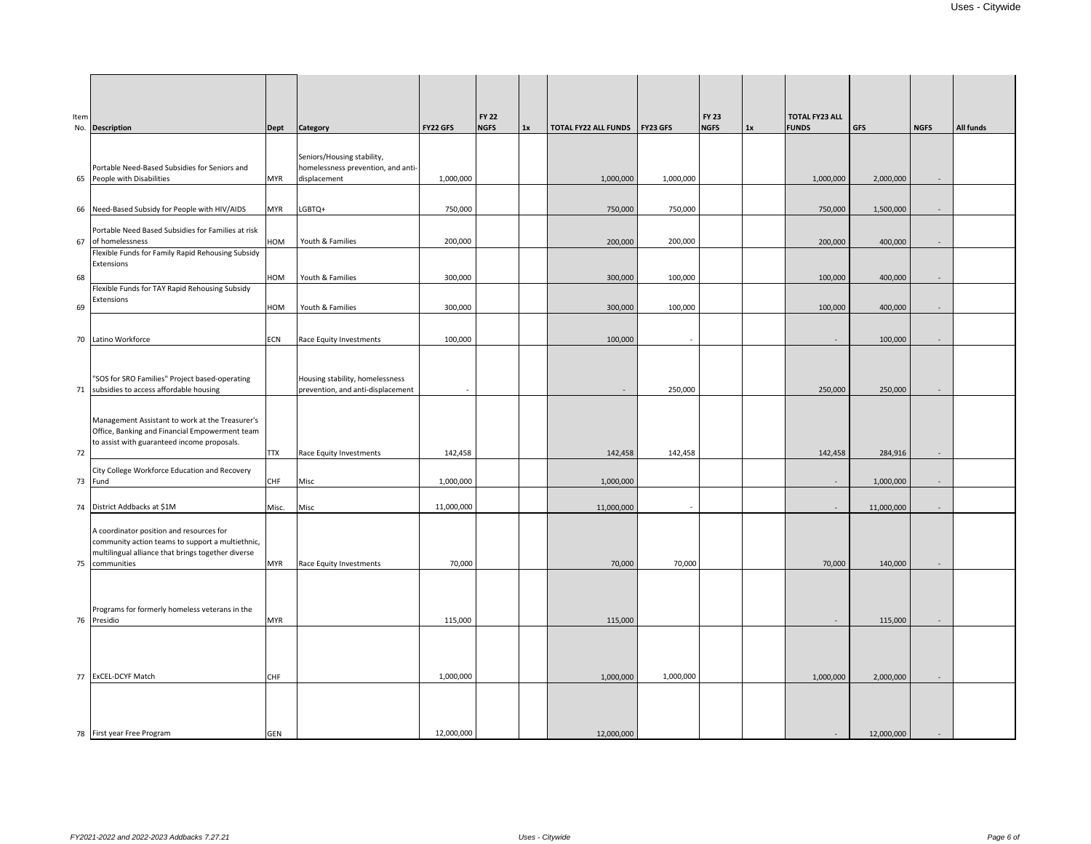| Item | No. Description                                                                                                                                                      | <b>Dept</b> | <b>Category</b>                                                                  | <b>FY22 GFS</b> | <b>FY 22</b><br><b>NGFS</b> | 1x | <b>TOTAL FY22 ALL FUNDS</b> | <b>FY23 GFS</b> | <b>FY 23</b><br><b>NGFS</b> | 1x | <b>TOTAL FY23 ALL</b><br><b>FUNDS</b> | <b>GFS</b> | <b>NGFS</b>              | <b>All funds</b> |
|------|----------------------------------------------------------------------------------------------------------------------------------------------------------------------|-------------|----------------------------------------------------------------------------------|-----------------|-----------------------------|----|-----------------------------|-----------------|-----------------------------|----|---------------------------------------|------------|--------------------------|------------------|
|      | Portable Need-Based Subsidies for Seniors and<br>65 People with Disabilities                                                                                         | <b>MYR</b>  | Seniors/Housing stability,<br>homelessness prevention, and anti-<br>displacement | 1,000,000       |                             |    | 1,000,000                   | 1,000,000       |                             |    | 1,000,000                             | 2,000,000  |                          |                  |
|      | 66 Need-Based Subsidy for People with HIV/AIDS                                                                                                                       | <b>MYR</b>  | LGBTQ+                                                                           | 750,000         |                             |    | 750,000                     | 750,000         |                             |    | 750,000                               | 1,500,000  |                          |                  |
|      | Portable Need Based Subsidies for Families at risk<br>67 of homelessness                                                                                             | HOM         | Youth & Families                                                                 | 200,000         |                             |    | 200,000                     | 200,000         |                             |    | 200,000                               | 400,000    | $\overline{\phantom{a}}$ |                  |
|      | Flexible Funds for Family Rapid Rehousing Subsidy<br>Extensions                                                                                                      |             |                                                                                  |                 |                             |    |                             |                 |                             |    |                                       |            |                          |                  |
| 68   | Flexible Funds for TAY Rapid Rehousing Subsidy<br>Extensions                                                                                                         | HOM         | Youth & Families<br>Youth & Families                                             | 300,000         |                             |    | 300,000                     | 100,000         |                             |    | 100,000                               | 400,000    | $\sim$                   |                  |
| 69   |                                                                                                                                                                      | HOM         |                                                                                  | 300,000         |                             |    | 300,000                     | 100,000         |                             |    | 100,000                               | 400,000    |                          |                  |
|      | 70 Latino Workforce                                                                                                                                                  | <b>ECN</b>  | Race Equity Investments                                                          | 100,000         |                             |    | 100,000                     |                 |                             |    | $\sim$                                | 100,000    | $\sim$                   |                  |
|      | "SOS for SRO Families" Project based-operating<br>71 subsidies to access affordable housing                                                                          |             | Housing stability, homelessness<br>prevention, and anti-displacement             |                 |                             |    | $\sim$                      | 250,000         |                             |    | 250,000                               | 250,000    |                          |                  |
|      | Management Assistant to work at the Treasurer's<br>Office, Banking and Financial Empowerment team<br>to assist with guaranteed income proposals.                     |             |                                                                                  |                 |                             |    |                             |                 |                             |    |                                       |            |                          |                  |
| 72   |                                                                                                                                                                      | <b>TTX</b>  | Race Equity Investments                                                          | 142,458         |                             |    | 142,458                     | 142,458         |                             |    | 142,458                               | 284,916    |                          |                  |
|      | City College Workforce Education and Recovery<br>73 Fund                                                                                                             | <b>CHF</b>  | Misc                                                                             | 1,000,000       |                             |    | 1,000,000                   |                 |                             |    | $\sim$                                | 1,000,000  | $\sim$                   |                  |
|      | 74 District Addbacks at \$1M                                                                                                                                         | Misc.       | Misc                                                                             | 11,000,000      |                             |    | 11,000,000                  |                 |                             |    | $\sim$                                | 11,000,000 |                          |                  |
|      | A coordinator position and resources for<br>community action teams to support a multiethnic,<br>multilingual alliance that brings together diverse<br>75 communities | <b>MYR</b>  | Race Equity Investments                                                          | 70,000          |                             |    | 70,000                      | 70,000          |                             |    | 70,000                                |            |                          |                  |
|      |                                                                                                                                                                      |             |                                                                                  |                 |                             |    |                             |                 |                             |    |                                       | 140,000    |                          |                  |
|      | Programs for formerly homeless veterans in the<br>76 Presidio                                                                                                        | <b>MYR</b>  |                                                                                  | 115,000         |                             |    | 115,000                     |                 |                             |    | $\sim$                                | 115,000    | $\sim$                   |                  |
|      |                                                                                                                                                                      |             |                                                                                  |                 |                             |    |                             |                 |                             |    |                                       |            |                          |                  |
|      | 77 ExCEL-DCYF Match                                                                                                                                                  | <b>CHF</b>  |                                                                                  | 1,000,000       |                             |    | 1,000,000                   | 1,000,000       |                             |    | 1,000,000                             | 2,000,000  | $\sim$                   |                  |
|      |                                                                                                                                                                      |             |                                                                                  |                 |                             |    |                             |                 |                             |    |                                       |            |                          |                  |
|      | 78 First year Free Program                                                                                                                                           | <b>GEN</b>  |                                                                                  | 12,000,000      |                             |    | 12,000,000                  |                 |                             |    |                                       | 12,000,000 |                          |                  |